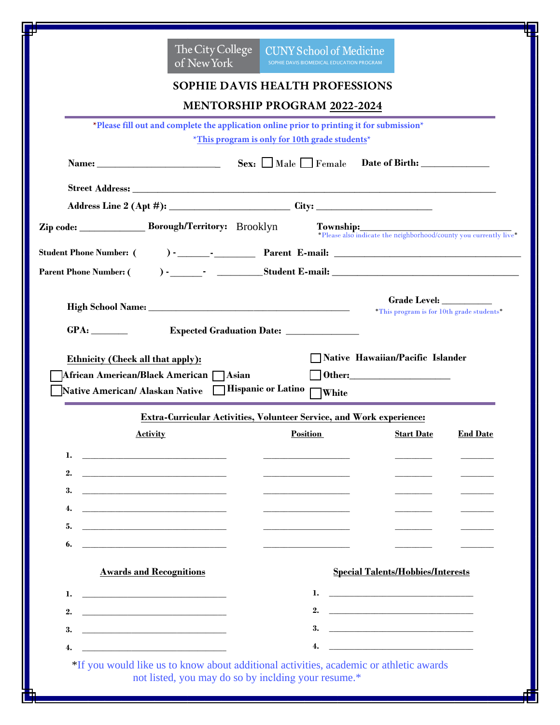|          |                                                                                                                                                                                                                                      | The City College<br>of New York         | <b>CUNY School of Medicine</b><br>SOPHIE DAVIS BIOMEDICAL EDUCATION PROGRAM               |                                                                                                                                                                                                                                                                                                                                               |  |
|----------|--------------------------------------------------------------------------------------------------------------------------------------------------------------------------------------------------------------------------------------|-----------------------------------------|-------------------------------------------------------------------------------------------|-----------------------------------------------------------------------------------------------------------------------------------------------------------------------------------------------------------------------------------------------------------------------------------------------------------------------------------------------|--|
|          |                                                                                                                                                                                                                                      |                                         | SOPHIE DAVIS HEALTH PROFESSIONS                                                           |                                                                                                                                                                                                                                                                                                                                               |  |
|          |                                                                                                                                                                                                                                      |                                         | <b>MENTORSHIP PROGRAM 2022-2024</b>                                                       |                                                                                                                                                                                                                                                                                                                                               |  |
|          |                                                                                                                                                                                                                                      |                                         | *Please fill out and complete the application online prior to printing it for submission* |                                                                                                                                                                                                                                                                                                                                               |  |
|          |                                                                                                                                                                                                                                      |                                         | *This program is only for 10th grade students*                                            |                                                                                                                                                                                                                                                                                                                                               |  |
|          |                                                                                                                                                                                                                                      |                                         |                                                                                           |                                                                                                                                                                                                                                                                                                                                               |  |
|          |                                                                                                                                                                                                                                      |                                         |                                                                                           |                                                                                                                                                                                                                                                                                                                                               |  |
|          |                                                                                                                                                                                                                                      |                                         |                                                                                           |                                                                                                                                                                                                                                                                                                                                               |  |
|          |                                                                                                                                                                                                                                      | Zip code: Borough/Territory: Brooklyn   |                                                                                           |                                                                                                                                                                                                                                                                                                                                               |  |
|          |                                                                                                                                                                                                                                      |                                         |                                                                                           | Township: *Please also indicate the neighborhood/county you currently live*                                                                                                                                                                                                                                                                   |  |
|          |                                                                                                                                                                                                                                      |                                         |                                                                                           |                                                                                                                                                                                                                                                                                                                                               |  |
|          |                                                                                                                                                                                                                                      |                                         |                                                                                           |                                                                                                                                                                                                                                                                                                                                               |  |
|          |                                                                                                                                                                                                                                      |                                         |                                                                                           | Grade Level:                                                                                                                                                                                                                                                                                                                                  |  |
|          |                                                                                                                                                                                                                                      |                                         |                                                                                           | *This program is for 10th grade students*                                                                                                                                                                                                                                                                                                     |  |
|          |                                                                                                                                                                                                                                      |                                         |                                                                                           |                                                                                                                                                                                                                                                                                                                                               |  |
|          |                                                                                                                                                                                                                                      |                                         | Expected Graduation Date: ______________                                                  |                                                                                                                                                                                                                                                                                                                                               |  |
|          |                                                                                                                                                                                                                                      |                                         |                                                                                           |                                                                                                                                                                                                                                                                                                                                               |  |
|          | Ethnicity (Check all that apply):                                                                                                                                                                                                    |                                         |                                                                                           | Native Hawaiian/Pacific Islander                                                                                                                                                                                                                                                                                                              |  |
|          | Native American/ Alaskan Native                                                                                                                                                                                                      | African American/Black American   Asian | Hispanic or Latino                                                                        |                                                                                                                                                                                                                                                                                                                                               |  |
|          |                                                                                                                                                                                                                                      |                                         | White                                                                                     |                                                                                                                                                                                                                                                                                                                                               |  |
|          |                                                                                                                                                                                                                                      |                                         | Extra-Curricular Activities, Volunteer Service, and Work experience:                      |                                                                                                                                                                                                                                                                                                                                               |  |
|          |                                                                                                                                                                                                                                      |                                         | <b>Activity End Date Position Position Example 2 Start Date End Date</b>                  |                                                                                                                                                                                                                                                                                                                                               |  |
| 1.       | <u> 1980 - Johann Barn, mars ann an t-Amhain ann an t-Amhain an t-Amhain ann an t-Amhain an t-Amhain ann an t-A</u>                                                                                                                  |                                         |                                                                                           |                                                                                                                                                                                                                                                                                                                                               |  |
| 2.       | <u> 1989 - Johann Barbara, martin amerikan basar da</u>                                                                                                                                                                              |                                         |                                                                                           |                                                                                                                                                                                                                                                                                                                                               |  |
| 3.       |                                                                                                                                                                                                                                      |                                         |                                                                                           |                                                                                                                                                                                                                                                                                                                                               |  |
| 4.       | <u> 1990 - John Harry Harry Harry Harry Harry Harry Harry Harry Harry Harry Harry Harry Harry Harry Harry Harry</u>                                                                                                                  |                                         |                                                                                           |                                                                                                                                                                                                                                                                                                                                               |  |
| 5.       |                                                                                                                                                                                                                                      |                                         |                                                                                           |                                                                                                                                                                                                                                                                                                                                               |  |
| 6.       | <u> 1989 - Johann Harry Harry Harry Harry Harry Harry Harry Harry Harry Harry Harry Harry Harry Harry Harry Harry Harry Harry Harry Harry Harry Harry Harry Harry Harry Harry Harry Harry Harry Harry Harry Harry Harry Harry Ha</u> |                                         |                                                                                           |                                                                                                                                                                                                                                                                                                                                               |  |
|          | <b>Awards and Recognitions</b>                                                                                                                                                                                                       |                                         |                                                                                           | <b>Special Talents/Hobbies/Interests</b>                                                                                                                                                                                                                                                                                                      |  |
|          |                                                                                                                                                                                                                                      |                                         |                                                                                           | $\mathbf{1.}$ $\qquad \qquad$ $\qquad \qquad$ $\qquad$ $\qquad$ $\qquad$ $\qquad$ $\qquad$ $\qquad$ $\qquad$ $\qquad$ $\qquad$ $\qquad$ $\qquad$ $\qquad$ $\qquad$ $\qquad$ $\qquad$ $\qquad$ $\qquad$ $\qquad$ $\qquad$ $\qquad$ $\qquad$ $\qquad$ $\qquad$ $\qquad$ $\qquad$ $\qquad$ $\qquad$ $\qquad$ $\qquad$ $\qquad$ $\qquad$ $\qquad$ |  |
| 1.       | <u> 1989 - Johann Harry Harry Harry Harry Harry Harry Harry Harry Harry Harry Harry Harry Harry Harry Harry Harry</u>                                                                                                                |                                         | 2.                                                                                        |                                                                                                                                                                                                                                                                                                                                               |  |
| 2.<br>3. | <u> 1989 - Andrea Stadt Britain, fransk politik (d. 1989)</u>                                                                                                                                                                        |                                         | 3.                                                                                        | <u> 1980 - Johann Barbara, martin amerikan basal dan berasal dan berasal dalam basal dan berasal dan berasal dan</u>                                                                                                                                                                                                                          |  |
| 4.       | <u> 1989 - Johann Barbara, martin amerikan basa</u><br><u> 1989 - Johann Barbara, martin a</u>                                                                                                                                       |                                         | 4.                                                                                        | <u> 1989 - Johann Harry Harry Harry Harry Harry Harry Harry Harry Harry Harry Harry Harry Harry Harry Harry Harry</u>                                                                                                                                                                                                                         |  |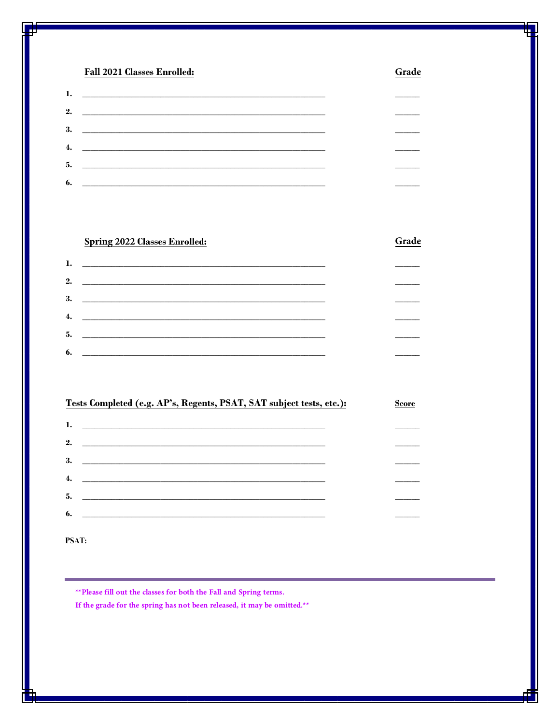## **Fall 2021 Classes Enrolled:**

|    | 1. <u>___________________________</u> |  |
|----|---------------------------------------|--|
|    |                                       |  |
|    | $3.$ $\qquad \qquad$                  |  |
|    | 4. $\qquad \qquad$                    |  |
|    |                                       |  |
| 6. |                                       |  |

Grade

Grade

## **Spring 2022 Classes Enrolled:**

## $\mathbf{1}$ . <u> 1989 - Jan Barat, margaret eta idazlea (h. 1989).</u>  $2.$  $3.$  $4.$ 5. 6.

| Tests Completed (e.g. AP's, Regents, PSAT, SAT subject tests, etc.):                                                        | <b>Score</b> |
|-----------------------------------------------------------------------------------------------------------------------------|--------------|
| 1.                                                                                                                          |              |
| 2.<br><u> 1989 - Jan Sterlinger, skriuwer fan it ferstjer fan de fan it ferstjer fan it ferstjer fan it ferstjer fan it</u> |              |
| 3.<br><u> Alexandro de la contrada de la contrada de la contrada de la contrada de la contrada de la contrada de la co</u>  |              |
| 4.<br><u> Alexandria de la contrada de la contrada de la contrada de la contrada de la contrada de la contrada de la c</u>  |              |
| 5.                                                                                                                          |              |
| 6.                                                                                                                          |              |
|                                                                                                                             |              |

**PSAT:** 

\*\* Please fill out the classes for both the Fall and Spring terms.

If the grade for the spring has not been released, it may be omitted.\*\*